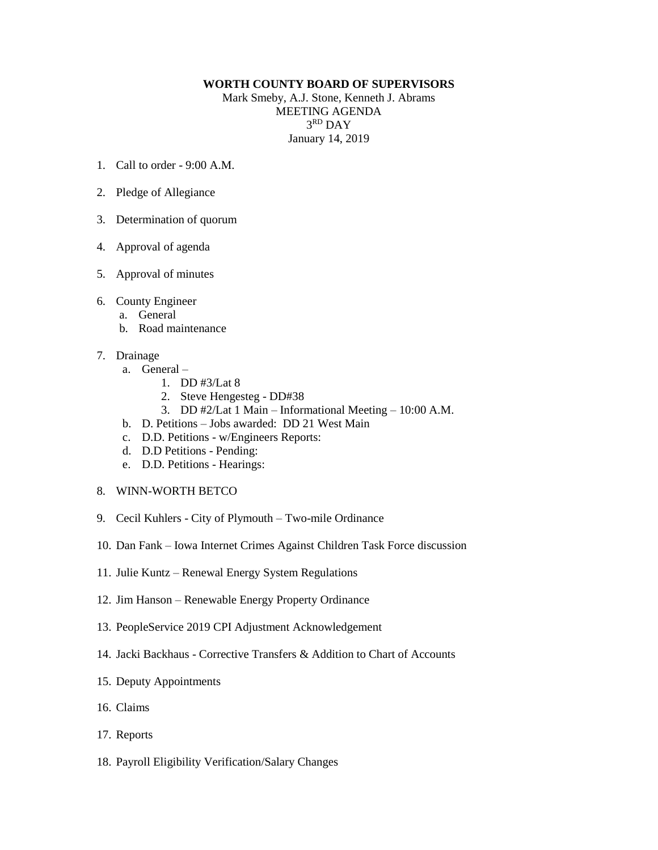## **WORTH COUNTY BOARD OF SUPERVISORS**

Mark Smeby, A.J. Stone, Kenneth J. Abrams MEETING AGENDA 3 RD DAY January 14, 2019

- 1. Call to order 9:00 A.M.
- 2. Pledge of Allegiance
- 3. Determination of quorum
- 4. Approval of agenda
- 5. Approval of minutes
- 6. County Engineer
	- a. General
	- b. Road maintenance
- 7. Drainage
	- a. General
		- 1. DD #3/Lat 8
		- 2. Steve Hengesteg DD#38
		- 3. DD #2/Lat 1 Main Informational Meeting 10:00 A.M.
	- b. D. Petitions Jobs awarded: DD 21 West Main
	- c. D.D. Petitions w/Engineers Reports:
	- d. D.D Petitions Pending:
	- e. D.D. Petitions Hearings:
- 8. WINN-WORTH BETCO
- 9. Cecil Kuhlers City of Plymouth Two-mile Ordinance
- 10. Dan Fank Iowa Internet Crimes Against Children Task Force discussion
- 11. Julie Kuntz Renewal Energy System Regulations
- 12. Jim Hanson Renewable Energy Property Ordinance
- 13. PeopleService 2019 CPI Adjustment Acknowledgement
- 14. Jacki Backhaus Corrective Transfers & Addition to Chart of Accounts
- 15. Deputy Appointments
- 16. Claims
- 17. Reports
- 18. Payroll Eligibility Verification/Salary Changes